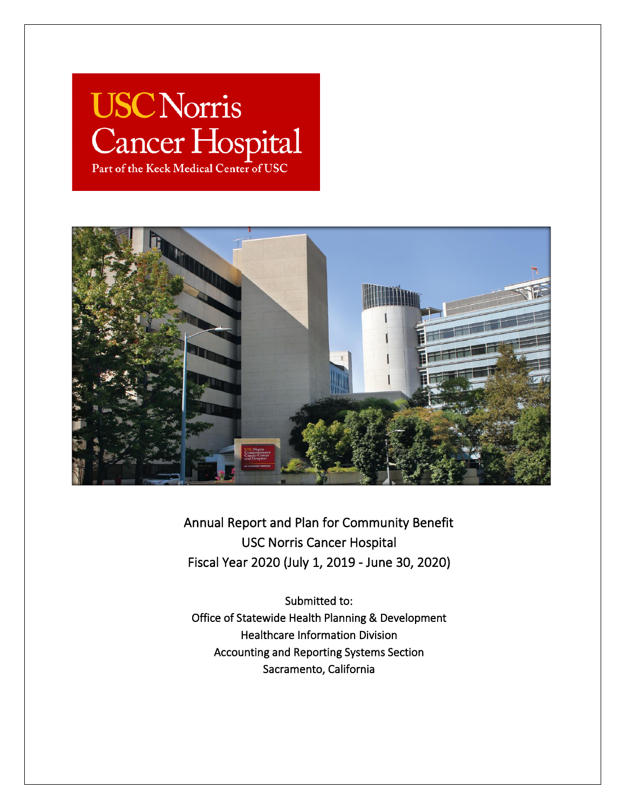# **USC Norris** Cancer Hospital Part of the Keck Medical Center of USC



Annual Report and Plan for Community Benefit USC Norris Cancer Hospital Fiscal Year 2020 (July 1, 2019 - June 30, 2020)

Submitted to: Office of Statewide Health Planning & Development Healthcare Information Division Accounting and Reporting Systems Section Sacramento, California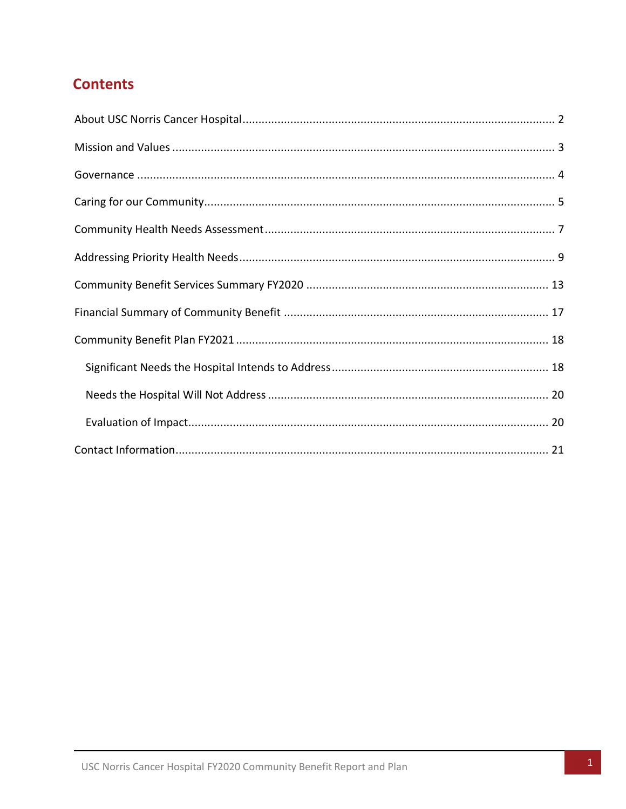# **Contents**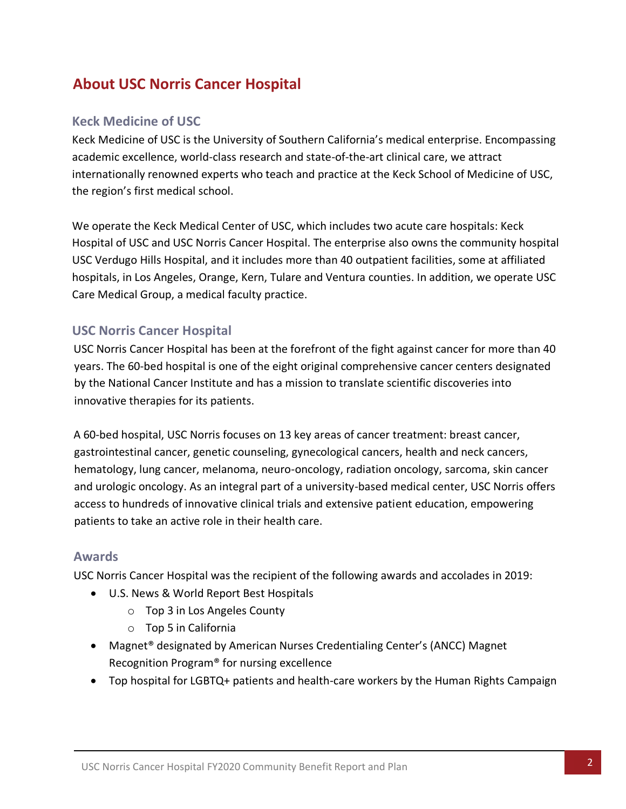# <span id="page-2-0"></span>**About USC Norris Cancer Hospital**

### **Keck Medicine of USC**

Keck Medicine of USC is the University of Southern California's medical enterprise. Encompassing academic excellence, world-class research and state-of-the-art clinical care, we attract internationally renowned experts who teach and practice at the Keck School of Medicine of USC, the region's first medical school.

We operate the Keck Medical Center of USC, which includes two acute care hospitals: Keck Hospital of USC and USC Norris Cancer Hospital. The enterprise also owns the community hospital USC Verdugo Hills Hospital, and it includes more than 40 outpatient facilities, some at affiliated hospitals, in Los Angeles, Orange, Kern, Tulare and Ventura counties. In addition, we operate USC Care Medical Group, a medical faculty practice.

### **USC Norris Cancer Hospital**

USC Norris Cancer Hospital has been at the forefront of the fight against cancer for more than 40 years. The 60-bed hospital is one of the eight original comprehensive cancer centers designated by the National Cancer Institute and has a mission to translate scientific discoveries into innovative therapies for its patients.

A 60-bed hospital, USC Norris focuses on 13 key areas of cancer treatment: breast cancer, gastrointestinal cancer, genetic counseling, gynecological cancers, health and neck cancers, hematology, lung cancer, melanoma, neuro-oncology, radiation oncology, sarcoma, skin cancer and urologic oncology. As an integral part of a university-based medical center, USC Norris offers access to hundreds of innovative clinical trials and extensive patient education, empowering patients to take an active role in their health care.

#### **Awards**

USC Norris Cancer Hospital was the recipient of the following awards and accolades in 2019:

- U.S. News & World Report Best Hospitals
	- o Top 3 in Los Angeles County
	- o Top 5 in California
- Magnet<sup>®</sup> designated by American Nurses Credentialing Center's (ANCC) Magnet Recognition Program® for nursing excellence
- Top hospital for LGBTQ+ patients and health-care workers by the Human Rights Campaign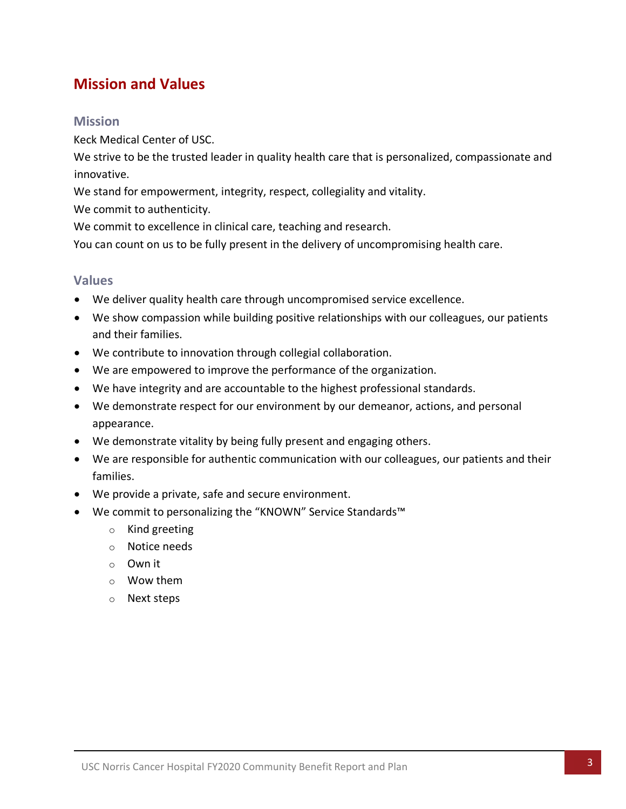# <span id="page-3-0"></span>**Mission and Values**

#### **Mission**

Keck Medical Center of USC.

We strive to be the trusted leader in quality health care that is personalized, compassionate and innovative.

We stand for empowerment, integrity, respect, collegiality and vitality.

We commit to authenticity.

We commit to excellence in clinical care, teaching and research.

You can count on us to be fully present in the delivery of uncompromising health care.

#### **Values**

- We deliver quality health care through uncompromised service excellence.
- We show compassion while building positive relationships with our colleagues, our patients and their families.
- We contribute to innovation through collegial collaboration.
- We are empowered to improve the performance of the organization.
- We have integrity and are accountable to the highest professional standards.
- We demonstrate respect for our environment by our demeanor, actions, and personal appearance.
- We demonstrate vitality by being fully present and engaging others.
- We are responsible for authentic communication with our colleagues, our patients and their families.
- We provide a private, safe and secure environment.
- <span id="page-3-1"></span>• We commit to personalizing the "KNOWN" Service Standards™
	- o Kind greeting
	- o Notice needs
	- o Own it
	- o Wow them
	- o Next steps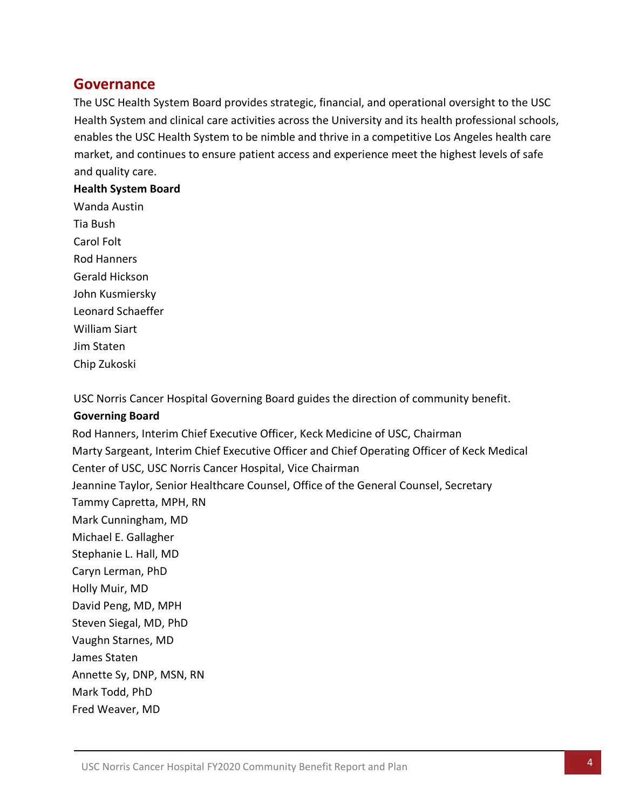# **Governance**

The USC Health System Board provides strategic, financial, and operational oversight to the USC Health System and clinical care activities across the University and its health professional schools, enables the USC Health System to be nimble and thrive in a competitive Los Angeles health care market, and continues to ensure patient access and experience meet the highest levels of safe and quality care.

#### **Health System Board**

Wanda Austin Tia Bush Carol Folt Rod Hanners Gerald Hickson John Kusmiersky Leonard Schaeffer William Siart Jim Staten Chip Zukoski

USC Norris Cancer Hospital Governing Board guides the direction of community benefit.

# **Governing Board**

Rod Hanners, Interim Chief Executive Officer, Keck Medicine of USC, Chairman Marty Sargeant, Interim Chief Executive Officer and Chief Operating Officer of Keck Medical Center of USC, USC Norris Cancer Hospital, Vice Chairman Jeannine Taylor, Senior Healthcare Counsel, Office of the General Counsel, Secretary Tammy Capretta, MPH, RN Mark Cunningham, MD Michael E. Gallagher Stephanie L. Hall, MD Caryn Lerman, PhD Holly Muir, MD David Peng, MD, MPH Steven Siegal, MD, PhD Vaughn Starnes, MD James Staten Annette Sy, DNP, MSN, RN Mark Todd, PhD Fred Weaver, MD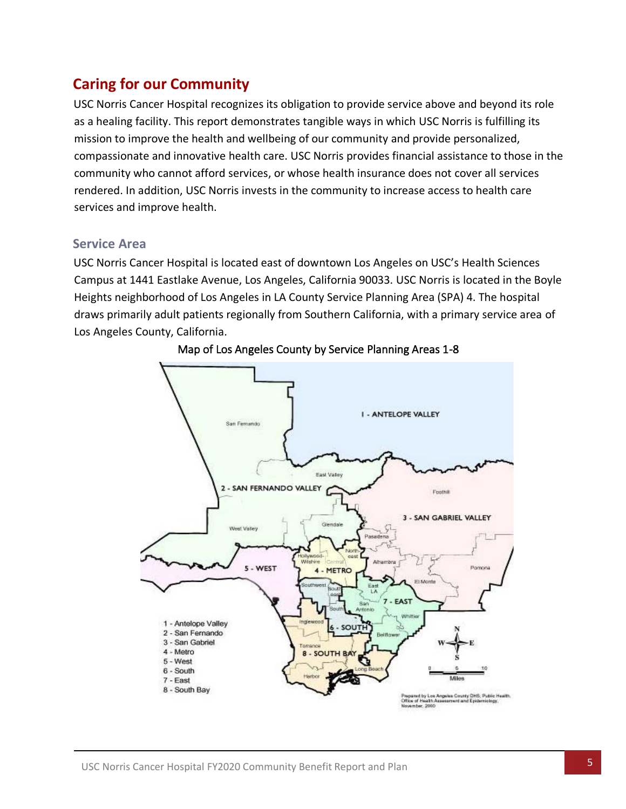# <span id="page-5-0"></span>**Caring for our Community**

USC Norris Cancer Hospital recognizes its obligation to provide service above and beyond its role as a healing facility. This report demonstrates tangible ways in which USC Norris is fulfilling its mission to improve the health and wellbeing of our community and provide personalized, compassionate and innovative health care. USC Norris provides financial assistance to those in the community who cannot afford services, or whose health insurance does not cover all services rendered. In addition, USC Norris invests in the community to increase access to health care services and improve health.

#### **Service Area**

USC Norris Cancer Hospital is located east of downtown Los Angeles on USC's Health Sciences Campus at 1441 Eastlake Avenue, Los Angeles, California 90033. USC Norris is located in the Boyle Heights neighborhood of Los Angeles in LA County Service Planning Area (SPA) 4. The hospital draws primarily adult patients regionally from Southern California, with a primary service area of Los Angeles County, California.



Map of Los Angeles County by Service Planning Areas 1-8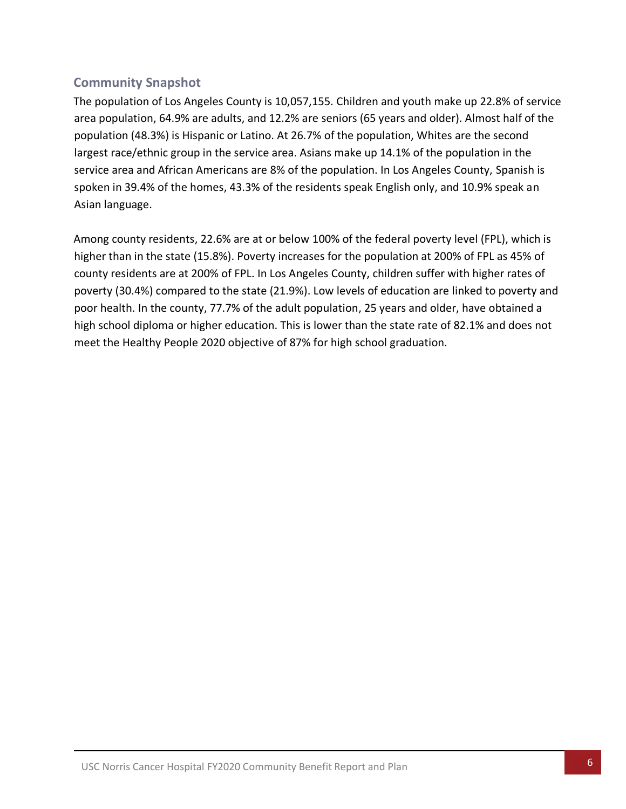# **Community Snapshot**

The population of Los Angeles County is 10,057,155. Children and youth make up 22.8% of service area population, 64.9% are adults, and 12.2% are seniors (65 years and older). Almost half of the population (48.3%) is Hispanic or Latino. At 26.7% of the population, Whites are the second largest race/ethnic group in the service area. Asians make up 14.1% of the population in the service area and African Americans are 8% of the population. In Los Angeles County, Spanish is spoken in 39.4% of the homes, 43.3% of the residents speak English only, and 10.9% speak an Asian language.

Among county residents, 22.6% are at or below 100% of the federal poverty level (FPL), which is higher than in the state (15.8%). Poverty increases for the population at 200% of FPL as 45% of county residents are at 200% of FPL. In Los Angeles County, children suffer with higher rates of poverty (30.4%) compared to the state (21.9%). Low levels of education are linked to poverty and poor health. In the county, 77.7% of the adult population, 25 years and older, have obtained a high school diploma or higher education. This is lower than the state rate of 82.1% and does not meet the Healthy People 2020 objective of 87% for high school graduation.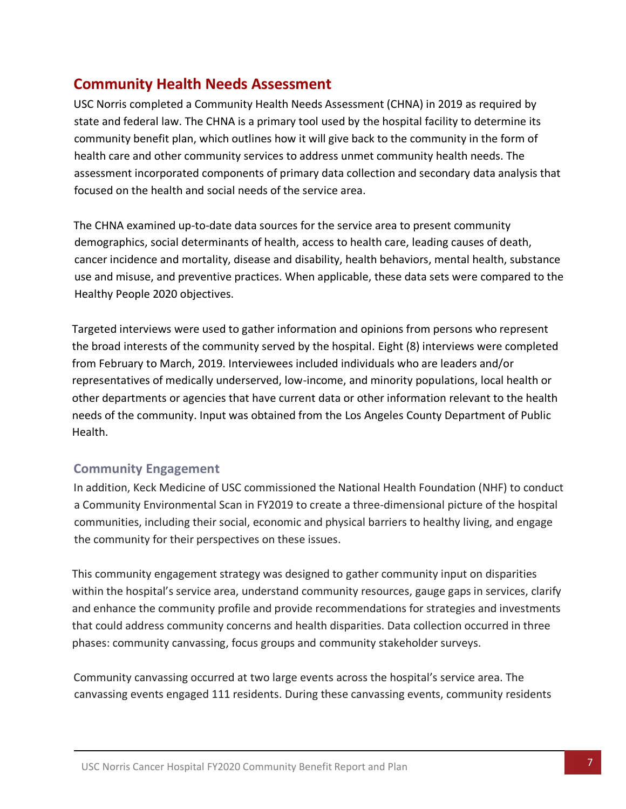# <span id="page-7-0"></span>**Community Health Needs Assessment**

USC Norris completed a Community Health Needs Assessment (CHNA) in 2019 as required by state and federal law. The CHNA is a primary tool used by the hospital facility to determine its community benefit plan, which outlines how it will give back to the community in the form of health care and other community services to address unmet community health needs. The assessment incorporated components of primary data collection and secondary data analysis that focused on the health and social needs of the service area.

The CHNA examined up-to-date data sources for the service area to present community demographics, social determinants of health, access to health care, leading causes of death, cancer incidence and mortality, disease and disability, health behaviors, mental health, substance use and misuse, and preventive practices. When applicable, these data sets were compared to the Healthy People 2020 objectives.

Targeted interviews were used to gather information and opinions from persons who represent the broad interests of the community served by the hospital. Eight (8) interviews were completed from February to March, 2019. Interviewees included individuals who are leaders and/or representatives of medically underserved, low-income, and minority populations, local health or other departments or agencies that have current data or other information relevant to the health needs of the community. Input was obtained from the Los Angeles County Department of Public Health.

#### **Community Engagement**

In addition, Keck Medicine of USC commissioned the National Health Foundation (NHF) to conduct a Community Environmental Scan in FY2019 to create a three-dimensional picture of the hospital communities, including their social, economic and physical barriers to healthy living, and engage the community for their perspectives on these issues.

This community engagement strategy was designed to gather community input on disparities within the hospital's service area, understand community resources, gauge gaps in services, clarify and enhance the community profile and provide recommendations for strategies and investments that could address community concerns and health disparities. Data collection occurred in three phases: community canvassing, focus groups and community stakeholder surveys.

Community canvassing occurred at two large events across the hospital's service area. The canvassing events engaged 111 residents. During these canvassing events, community residents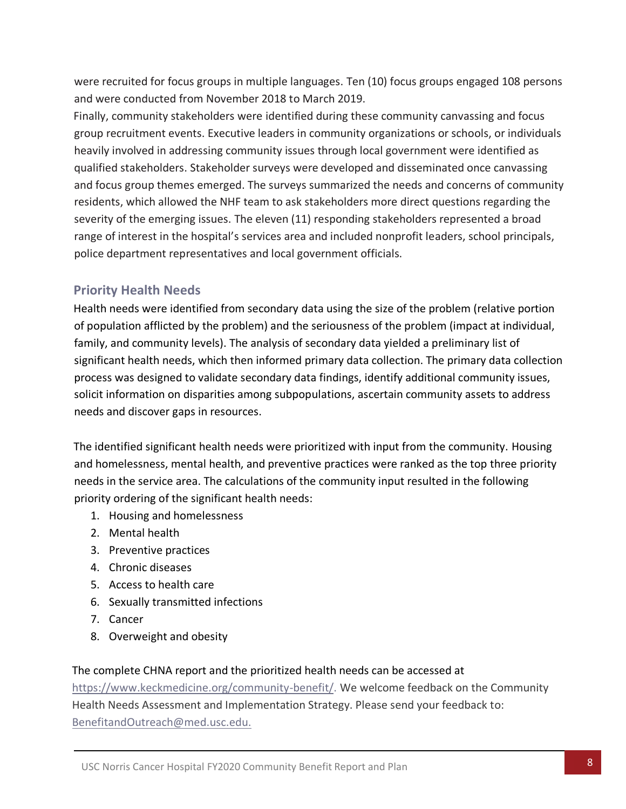were recruited for focus groups in multiple languages. Ten (10) focus groups engaged 108 persons and were conducted from November 2018 to March 2019.

Finally, community stakeholders were identified during these community canvassing and focus group recruitment events. Executive leaders in community organizations or schools, or individuals heavily involved in addressing community issues through local government were identified as qualified stakeholders. Stakeholder surveys were developed and disseminated once canvassing and focus group themes emerged. The surveys summarized the needs and concerns of community residents, which allowed the NHF team to ask stakeholders more direct questions regarding the severity of the emerging issues. The eleven (11) responding stakeholders represented a broad range of interest in the hospital's services area and included nonprofit leaders, school principals, police department representatives and local government officials.

# **Priority Health Needs**

Health needs were identified from secondary data using the size of the problem (relative portion of population afflicted by the problem) and the seriousness of the problem (impact at individual, family, and community levels). The analysis of secondary data yielded a preliminary list of significant health needs, which then informed primary data collection. The primary data collection process was designed to validate secondary data findings, identify additional community issues, solicit information on disparities among subpopulations, ascertain community assets to address needs and discover gaps in resources.

The identified significant health needs were prioritized with input from the community. Housing and homelessness, mental health, and preventive practices were ranked as the top three priority needs in the service area. The calculations of the community input resulted in the following priority ordering of the significant health needs:

- 1. Housing and homelessness
- 2. Mental health
- 3. Preventive practices
- 4. Chronic diseases
- 5. Access to health care
- 6. Sexually transmitted infections
- 7. Cancer
- 8. Overweight and obesity

#### The complete CHNA report and the prioritized health needs can be accessed at

[https://www.keckmedicine.org/community-benefit/.](https://www.keckmedicine.org/community-benefit/) We welcome feedback on the Community Health Needs Assessment and Implementation Strategy. Please send your feedback to: [BenefitandOutreach@med.usc.edu.](mailto:BenefitandOutreach@med.usc.edu.)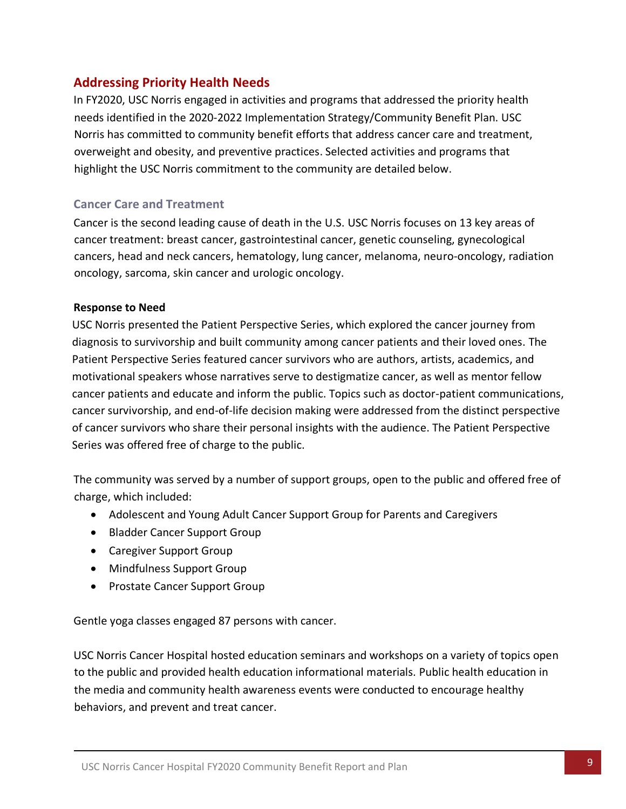### <span id="page-9-0"></span>**Addressing Priority Health Needs**

In FY2020, USC Norris engaged in activities and programs that addressed the priority health needs identified in the 2020-2022 Implementation Strategy/Community Benefit Plan. USC Norris has committed to community benefit efforts that address cancer care and treatment, overweight and obesity, and preventive practices. Selected activities and programs that highlight the USC Norris commitment to the community are detailed below.

#### **Cancer Care and Treatment**

Cancer is the second leading cause of death in the U.S. USC Norris focuses on 13 key areas of cancer treatment: breast cancer, gastrointestinal cancer, genetic counseling, gynecological cancers, head and neck cancers, hematology, lung cancer, melanoma, neuro-oncology, radiation oncology, sarcoma, skin cancer and urologic oncology.

#### **Response to Need**

USC Norris presented the Patient Perspective Series, which explored the cancer journey from diagnosis to survivorship and built community among cancer patients and their loved ones. The Patient Perspective Series featured cancer survivors who are authors, artists, academics, and motivational speakers whose narratives serve to destigmatize cancer, as well as mentor fellow cancer patients and educate and inform the public. Topics such as doctor-patient communications, cancer survivorship, and end-of-life decision making were addressed from the distinct perspective of cancer survivors who share their personal insights with the audience. The Patient Perspective Series was offered free of charge to the public.

The community was served by a number of support groups, open to the public and offered free of charge, which included:

- Adolescent and Young Adult Cancer Support Group for Parents and Caregivers
- Bladder Cancer Support Group
- Caregiver Support Group
- Mindfulness Support Group
- Prostate Cancer Support Group

Gentle yoga classes engaged 87 persons with cancer.

USC Norris Cancer Hospital hosted education seminars and workshops on a variety of topics open to the public and provided health education informational materials. Public health education in the media and community health awareness events were conducted to encourage healthy behaviors, and prevent and treat cancer.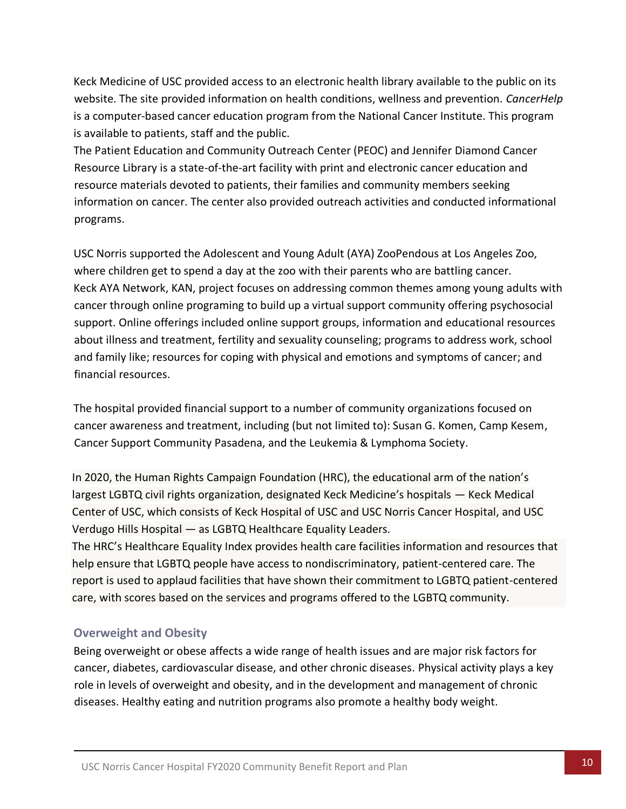Keck Medicine of USC provided access to an electronic health library available to the public on its website. The site provided information on health conditions, wellness and prevention. *CancerHelp* is a computer-based cancer education program from the National Cancer Institute. This program is available to patients, staff and the public.

The Patient Education and Community Outreach Center (PEOC) and Jennifer Diamond Cancer Resource Library is a state-of-the-art facility with print and electronic cancer education and resource materials devoted to patients, their families and community members seeking information on cancer. The center also provided outreach activities and conducted informational programs.

USC Norris supported the Adolescent and Young Adult (AYA) ZooPendous at Los Angeles Zoo, where children get to spend a day at the zoo with their parents who are battling cancer. Keck AYA Network, KAN, project focuses on addressing common themes among young adults with cancer through online programing to build up a virtual support community offering psychosocial support. Online offerings included online support groups, information and educational resources about illness and treatment, fertility and sexuality counseling; programs to address work, school and family like; resources for coping with physical and emotions and symptoms of cancer; and financial resources.

The hospital provided financial support to a number of community organizations focused on cancer awareness and treatment, including (but not limited to): Susan G. Komen, Camp Kesem, Cancer Support Community Pasadena, and the Leukemia & Lymphoma Society.

In 2020, the Human Rights Campaign Foundation (HRC), the educational arm of the nation's largest LGBTQ civil rights organization, designated Keck Medicine's hospitals — Keck Medical Center of USC, which consists of Keck Hospital of USC and USC Norris Cancer Hospital, and USC Verdugo Hills Hospital — as LGBTQ Healthcare Equality Leaders.

The HRC's Healthcare Equality Index provides health care facilities information and resources that help ensure that LGBTQ people have access to nondiscriminatory, patient-centered care. The report is used to applaud facilities that have shown their commitment to LGBTQ patient-centered care, with scores based on the services and programs offered to the LGBTQ community.

#### **Overweight and Obesity**

Being overweight or obese affects a wide range of health issues and are major risk factors for cancer, diabetes, cardiovascular disease, and other chronic diseases. Physical activity plays a key role in levels of overweight and obesity, and in the development and management of chronic diseases. Healthy eating and nutrition programs also promote a healthy body weight.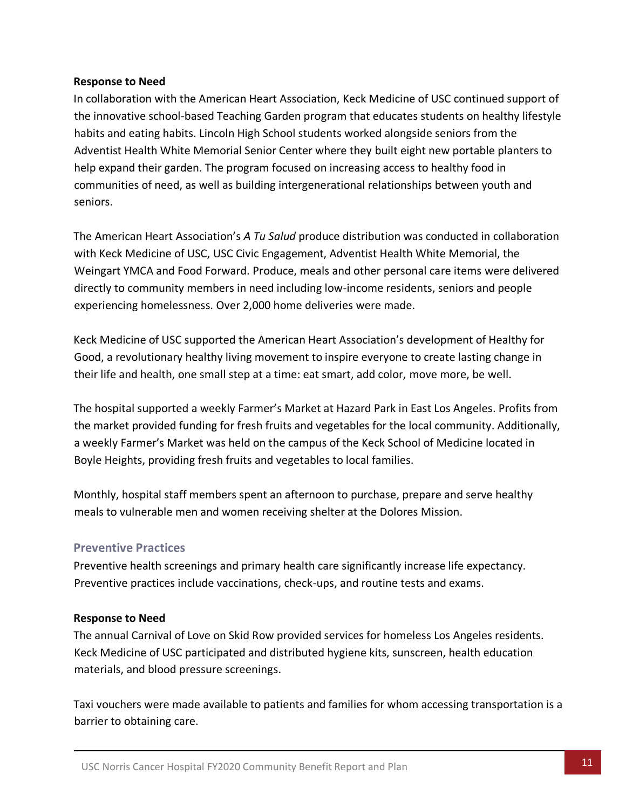#### **Response to Need**

In collaboration with the American Heart Association, Keck Medicine of USC continued support of the innovative school-based Teaching Garden program that educates students on healthy lifestyle habits and eating habits. Lincoln High School students worked alongside seniors from the Adventist Health White Memorial Senior Center where they built eight new portable planters to help expand their garden. The program focused on increasing access to healthy food in communities of need, as well as building intergenerational relationships between youth and seniors.

The American Heart Association's *A Tu Salud* produce distribution was conducted in collaboration with Keck Medicine of USC, USC Civic Engagement, Adventist Health White Memorial, the Weingart YMCA and Food Forward. Produce, meals and other personal care items were delivered directly to community members in need including low-income residents, seniors and people experiencing homelessness. Over 2,000 home deliveries were made.

Keck Medicine of USC supported the American Heart Association's development of Healthy for Good, a revolutionary healthy living movement to inspire everyone to create lasting change in their life and health, one small step at a time: eat smart, add color, move more, be well.

The hospital supported a weekly Farmer's Market at Hazard Park in East Los Angeles. Profits from the market provided funding for fresh fruits and vegetables for the local community. Additionally, a weekly Farmer's Market was held on the campus of the Keck School of Medicine located in Boyle Heights, providing fresh fruits and vegetables to local families.

Monthly, hospital staff members spent an afternoon to purchase, prepare and serve healthy meals to vulnerable men and women receiving shelter at the Dolores Mission.

#### **Preventive Practices**

Preventive health screenings and primary health care significantly increase life expectancy. Preventive practices include vaccinations, check-ups, and routine tests and exams.

#### **Response to Need**

The annual Carnival of Love on Skid Row provided services for homeless Los Angeles residents. Keck Medicine of USC participated and distributed hygiene kits, sunscreen, health education materials, and blood pressure screenings.

Taxi vouchers were made available to patients and families for whom accessing transportation is a barrier to obtaining care.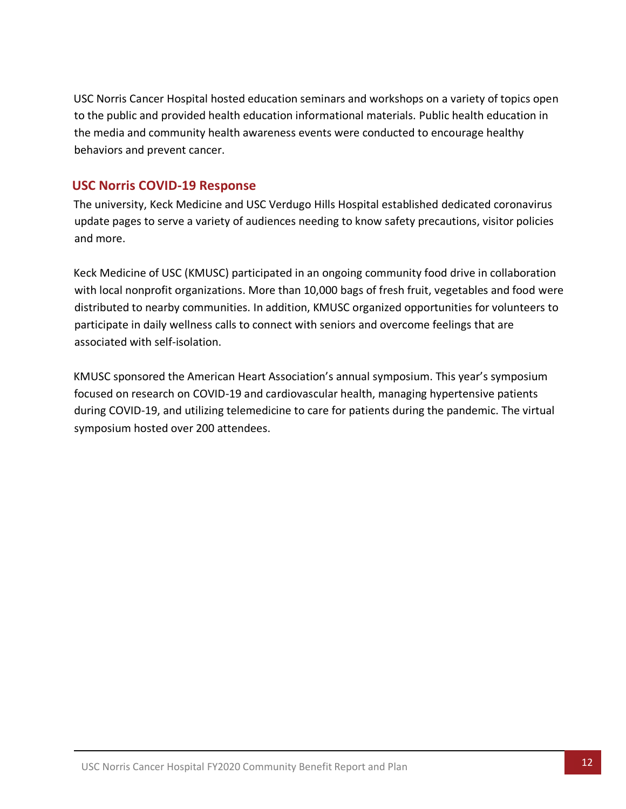USC Norris Cancer Hospital hosted education seminars and workshops on a variety of topics open to the public and provided health education informational materials. Public health education in the media and community health awareness events were conducted to encourage healthy behaviors and prevent cancer.

### **USC Norris COVID-19 Response**

The university, Keck Medicine and USC Verdugo Hills Hospital established dedicated coronavirus update pages to serve a variety of audiences needing to know safety precautions, visitor policies and more.

Keck Medicine of USC (KMUSC) participated in an ongoing community food drive in collaboration with local nonprofit organizations. More than 10,000 bags of fresh fruit, vegetables and food were distributed to nearby communities. In addition, KMUSC organized opportunities for volunteers to participate in daily wellness calls to connect with seniors and overcome feelings that are associated with self-isolation.

KMUSC sponsored the American Heart Association's annual symposium. This year's symposium focused on research on COVID-19 and cardiovascular health, managing hypertensive patients during COVID-19, and utilizing telemedicine to care for patients during the pandemic. The virtual symposium hosted over 200 attendees.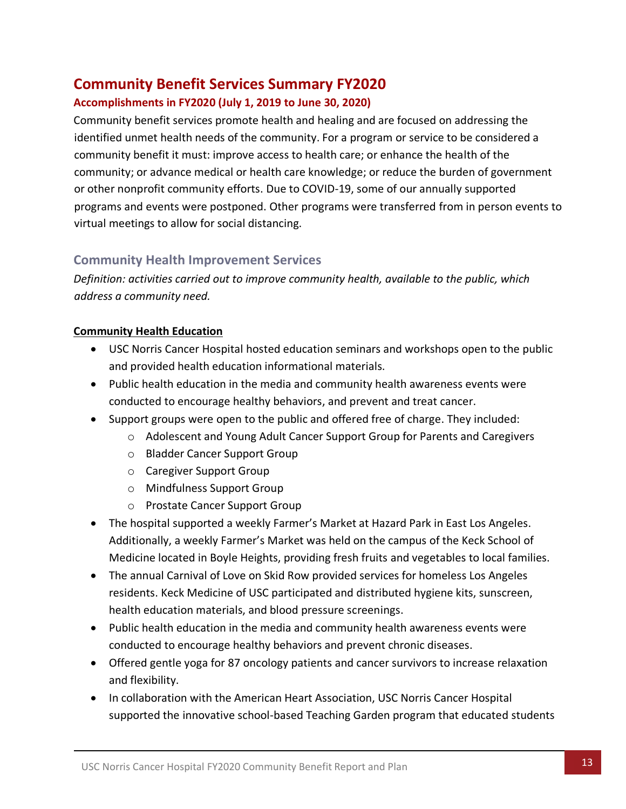# <span id="page-13-0"></span>**Community Benefit Services Summary FY2020**

### **Accomplishments in FY2020 (July 1, 2019 to June 30, 2020)**

Community benefit services promote health and healing and are focused on addressing the identified unmet health needs of the community. For a program or service to be considered a community benefit it must: improve access to health care; or enhance the health of the community; or advance medical or health care knowledge; or reduce the burden of government or other nonprofit community efforts. Due to COVID-19, some of our annually supported programs and events were postponed. Other programs were transferred from in person events to virtual meetings to allow for social distancing.

# **Community Health Improvement Services**

*Definition: activities carried out to improve community health, available to the public, which address a community need.* 

#### **Community Health Education**

- USC Norris Cancer Hospital hosted education seminars and workshops open to the public and provided health education informational materials.
- Public health education in the media and community health awareness events were conducted to encourage healthy behaviors, and prevent and treat cancer.
- Support groups were open to the public and offered free of charge. They included:
	- o Adolescent and Young Adult Cancer Support Group for Parents and Caregivers
	- o Bladder Cancer Support Group
	- o Caregiver Support Group
	- o Mindfulness Support Group
	- o Prostate Cancer Support Group
- The hospital supported a weekly Farmer's Market at Hazard Park in East Los Angeles. Additionally, a weekly Farmer's Market was held on the campus of the Keck School of Medicine located in Boyle Heights, providing fresh fruits and vegetables to local families.
- The annual Carnival of Love on Skid Row provided services for homeless Los Angeles residents. Keck Medicine of USC participated and distributed hygiene kits, sunscreen, health education materials, and blood pressure screenings.
- Public health education in the media and community health awareness events were conducted to encourage healthy behaviors and prevent chronic diseases.
- Offered gentle yoga for 87 oncology patients and cancer survivors to increase relaxation and flexibility.
- In collaboration with the American Heart Association, USC Norris Cancer Hospital supported the innovative school-based Teaching Garden program that educated students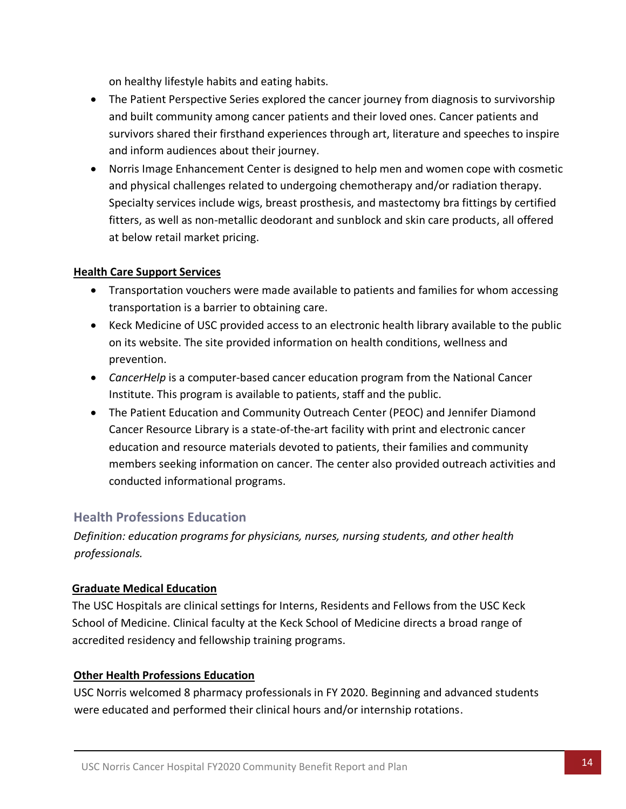on healthy lifestyle habits and eating habits.

- The Patient Perspective Series explored the cancer journey from diagnosis to survivorship and built community among cancer patients and their loved ones. Cancer patients and survivors shared their firsthand experiences through art, literature and speeches to inspire and inform audiences about their journey.
- Norris Image Enhancement Center is designed to help men and women cope with cosmetic and physical challenges related to undergoing chemotherapy and/or radiation therapy. Specialty services include wigs, breast prosthesis, and mastectomy bra fittings by certified fitters, as well as non-metallic deodorant and sunblock and skin care products, all offered at below retail market pricing.

#### **Health Care Support Services**

- Transportation vouchers were made available to patients and families for whom accessing transportation is a barrier to obtaining care.
- Keck Medicine of USC provided access to an electronic health library available to the public on its website. The site provided information on health conditions, wellness and prevention.
- *CancerHelp* is a computer-based cancer education program from the National Cancer Institute. This program is available to patients, staff and the public.
- The Patient Education and Community Outreach Center (PEOC) and Jennifer Diamond Cancer Resource Library is a state-of-the-art facility with print and electronic cancer education and resource materials devoted to patients, their families and community members seeking information on cancer. The center also provided outreach activities and conducted informational programs.

# **Health Professions Education**

*Definition: education programs for physicians, nurses, nursing students, and other health professionals.*

#### **Graduate Medical Education**

The USC Hospitals are clinical settings for Interns, Residents and Fellows from the USC Keck School of Medicine. Clinical faculty at the Keck School of Medicine directs a broad range of accredited residency and fellowship training programs.

#### **Other Health Professions Education**

USC Norris welcomed 8 pharmacy professionals in FY 2020. Beginning and advanced students were educated and performed their clinical hours and/or internship rotations.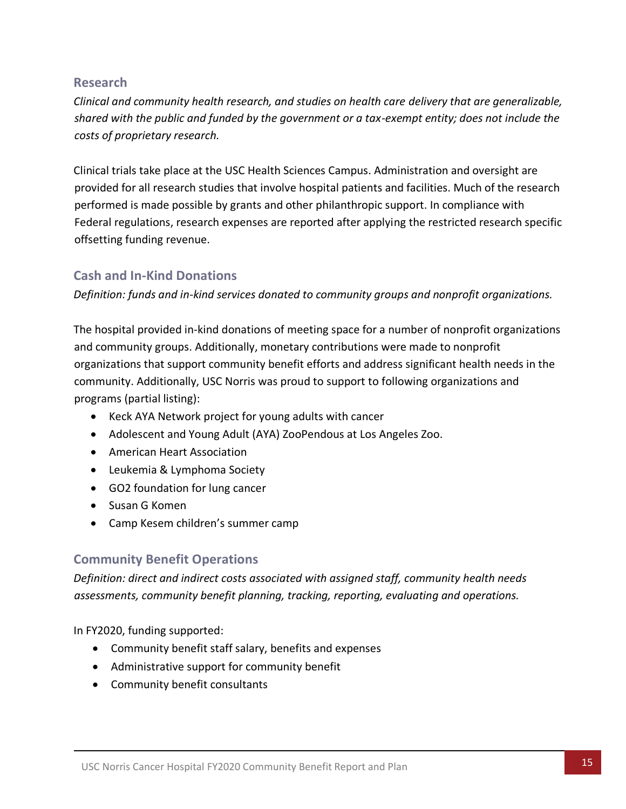#### **Research**

*Clinical and community health research, and studies on health care delivery that are generalizable, shared with the public and funded by the government or a tax-exempt entity; does not include the costs of proprietary research.*

Clinical trials take place at the USC Health Sciences Campus. Administration and oversight are provided for all research studies that involve hospital patients and facilities. Much of the research performed is made possible by grants and other philanthropic support. In compliance with Federal regulations, research expenses are reported after applying the restricted research specific offsetting funding revenue.

### **Cash and In-Kind Donations**

*Definition: funds and in-kind services donated to community groups and nonprofit organizations.*

The hospital provided in-kind donations of meeting space for a number of nonprofit organizations and community groups. Additionally, monetary contributions were made to nonprofit organizations that support community benefit efforts and address significant health needs in the community. Additionally, USC Norris was proud to support to following organizations and programs (partial listing):

- Keck AYA Network project for young adults with cancer
- Adolescent and Young Adult (AYA) ZooPendous at Los Angeles Zoo.
- American Heart Association
- Leukemia & Lymphoma Society
- GO2 foundation for lung cancer
- Susan G Komen
- Camp Kesem children's summer camp

# **Community Benefit Operations**

*Definition: direct and indirect costs associated with assigned staff, community health needs assessments, community benefit planning, tracking, reporting, evaluating and operations.* 

In FY2020, funding supported:

- Community benefit staff salary, benefits and expenses
- Administrative support for community benefit
- Community benefit consultants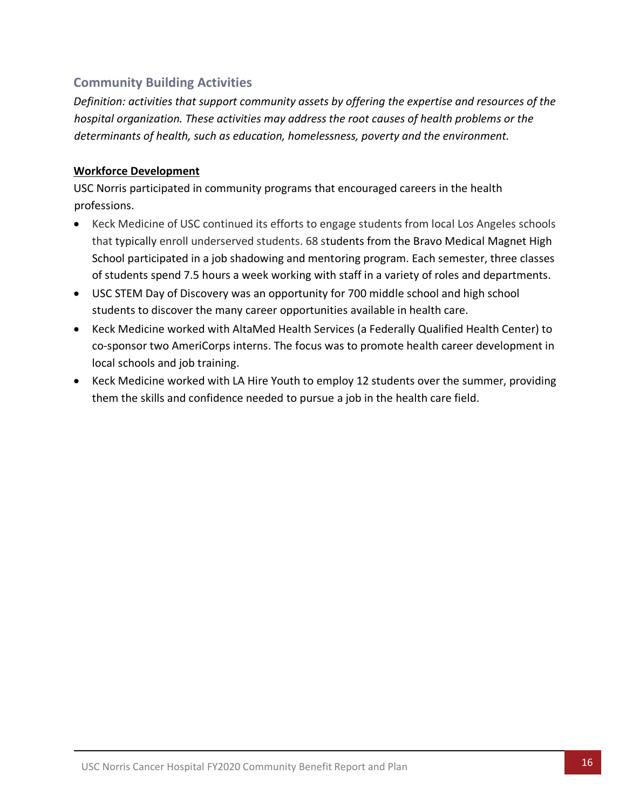# **Community Building Activities**

*Definition: activities that support community assets by offering the expertise and resources of the hospital organization. These activities may address the root causes of health problems or the determinants of health, such as education, homelessness, poverty and the environment.*

#### **Workforce Development**

USC Norris participated in community programs that encouraged careers in the health professions.

- Keck Medicine of USC continued its efforts to engage students from local Los Angeles schools that typically enroll underserved students. 68 students from the Bravo Medical Magnet High School participated in a job shadowing and mentoring program. Each semester, three classes of students spend 7.5 hours a week working with staff in a variety of roles and departments.
- USC STEM Day of Discovery was an opportunity for 700 middle school and high school students to discover the many career opportunities available in health care.
- Keck Medicine worked with AltaMed Health Services (a Federally Qualified Health Center) to co-sponsor two AmeriCorps interns. The focus was to promote health career development in local schools and job training.
- <span id="page-16-0"></span>• Keck Medicine worked with LA Hire Youth to employ 12 students over the summer, providing them the skills and confidence needed to pursue a job in the health care field.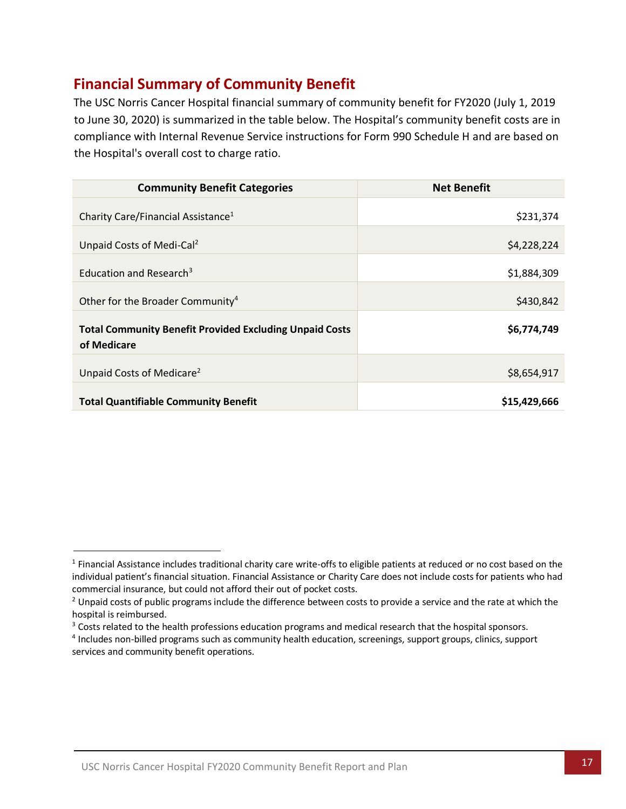# **Financial Summary of Community Benefit**

The USC Norris Cancer Hospital financial summary of community benefit for FY2020 (July 1, 2019 to June 30, 2020) is summarized in the table below. The Hospital's community benefit costs are in compliance with Internal Revenue Service instructions for Form 990 Schedule H and are based on the Hospital's overall cost to charge ratio.

| <b>Community Benefit Categories</b>                                           | <b>Net Benefit</b> |
|-------------------------------------------------------------------------------|--------------------|
| Charity Care/Financial Assistance <sup>1</sup>                                | \$231,374          |
| Unpaid Costs of Medi-Cal <sup>2</sup>                                         | \$4,228,224        |
| Education and Research <sup>3</sup>                                           | \$1,884,309        |
| Other for the Broader Community <sup>4</sup>                                  | \$430,842          |
| <b>Total Community Benefit Provided Excluding Unpaid Costs</b><br>of Medicare | \$6,774,749        |
| Unpaid Costs of Medicare <sup>2</sup>                                         | \$8,654,917        |
| <b>Total Quantifiable Community Benefit</b>                                   | \$15,429,666       |

<span id="page-17-0"></span><sup>&</sup>lt;sup>1</sup> Financial Assistance includes traditional charity care write-offs to eligible patients at reduced or no cost based on the individual patient's financial situation. Financial Assistance or Charity Care does not include costs for patients who had commercial insurance, but could not afford their out of pocket costs.

<sup>&</sup>lt;sup>2</sup> Unpaid costs of public programs include the difference between costs to provide a service and the rate at which the hospital is reimbursed.

<sup>&</sup>lt;sup>3</sup> Costs related to the health professions education programs and medical research that the hospital sponsors.

<sup>4</sup> Includes non-billed programs such as community health education, screenings, support groups, clinics, support services and community benefit operations.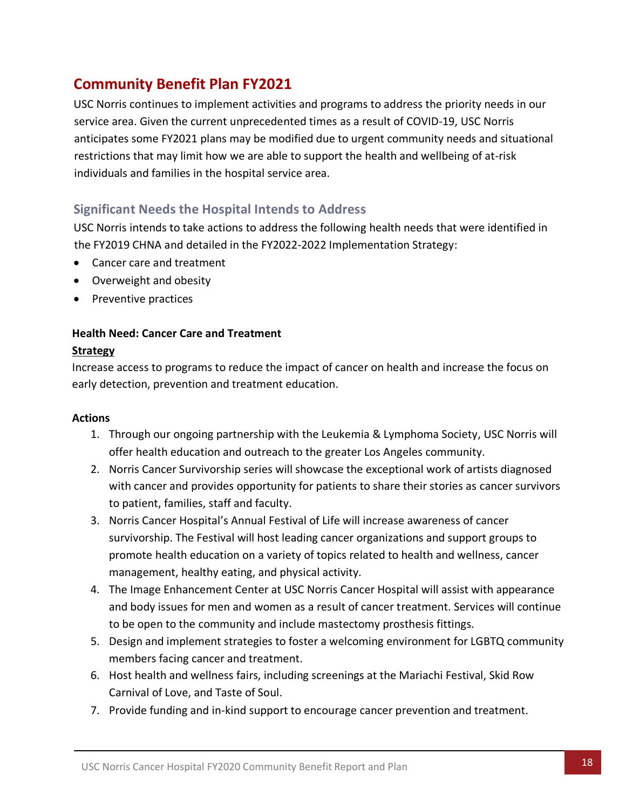# **Community Benefit Plan FY2021**

USC Norris continues to implement activities and programs to address the priority needs in our service area. Given the current unprecedented times as a result of COVID-19, USC Norris anticipates some FY2021 plans may be modified due to urgent community needs and situational restrictions that may limit how we are able to support the health and wellbeing of at-risk individuals and families in the hospital service area.

### <span id="page-18-0"></span>**Significant Needs the Hospital Intends to Address**

USC Norris intends to take actions to address the following health needs that were identified in the FY2019 CHNA and detailed in the FY2022-2022 Implementation Strategy:

- Cancer care and treatment
- Overweight and obesity
- Preventive practices

#### **Health Need: Cancer Care and Treatment**

#### **Strategy**

Increase access to programs to reduce the impact of cancer on health and increase the focus on early detection, prevention and treatment education.

#### **Actions**

- 1. Through our ongoing partnership with the Leukemia & Lymphoma Society, USC Norris will offer health education and outreach to the greater Los Angeles community.
- 2. Norris Cancer Survivorship series will showcase the exceptional work of artists diagnosed with cancer and provides opportunity for patients to share their stories as cancer survivors to patient, families, staff and faculty.
- 3. Norris Cancer Hospital's Annual Festival of Life will increase awareness of cancer survivorship. The Festival will host leading cancer organizations and support groups to promote health education on a variety of topics related to health and wellness, cancer management, healthy eating, and physical activity.
- 4. The Image Enhancement Center at USC Norris Cancer Hospital will assist with appearance and body issues for men and women as a result of cancer treatment. Services will continue to be open to the community and include mastectomy prosthesis fittings.
- 5. Design and implement strategies to foster a welcoming environment for LGBTQ community members facing cancer and treatment.
- 6. Host health and wellness fairs, including screenings at the Mariachi Festival, Skid Row Carnival of Love, and Taste of Soul.
- 7. Provide funding and in-kind support to encourage cancer prevention and treatment.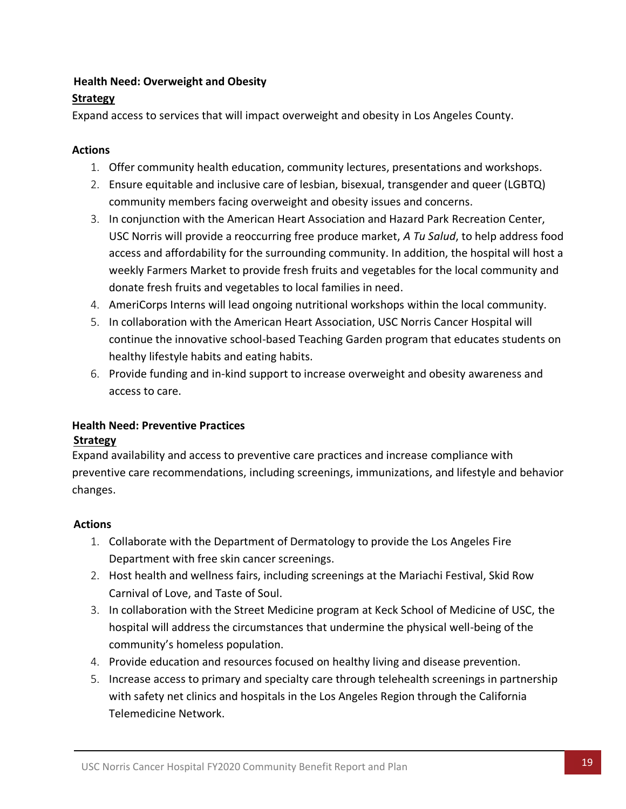#### **Health Need: Overweight and Obesity**

#### **Strategy**

Expand access to services that will impact overweight and obesity in Los Angeles County.

#### **Actions**

- 1. Offer community health education, community lectures, presentations and workshops.
- 2. Ensure equitable and inclusive care of lesbian, bisexual, transgender and queer (LGBTQ) community members facing overweight and obesity issues and concerns.
- 3. In conjunction with the American Heart Association and Hazard Park Recreation Center, USC Norris will provide a reoccurring free produce market, *A Tu Salud*, to help address food access and affordability for the surrounding community. In addition, the hospital will host a weekly Farmers Market to provide fresh fruits and vegetables for the local community and donate fresh fruits and vegetables to local families in need.
- 4. AmeriCorps Interns will lead ongoing nutritional workshops within the local community.
- 5. In collaboration with the American Heart Association, USC Norris Cancer Hospital will continue the innovative school-based Teaching Garden program that educates students on healthy lifestyle habits and eating habits.
- 6. Provide funding and in-kind support to increase overweight and obesity awareness and access to care.

# **Health Need: Preventive Practices**

#### **Strategy**

Expand availability and access to preventive care practices and increase compliance with preventive care recommendations, including screenings, immunizations, and lifestyle and behavior changes.

#### **Actions**

- 1. Collaborate with the Department of Dermatology to provide the Los Angeles Fire Department with free skin cancer screenings.
- 2. Host health and wellness fairs, including screenings at the Mariachi Festival, Skid Row Carnival of Love, and Taste of Soul.
- 3. In collaboration with the Street Medicine program at Keck School of Medicine of USC, the hospital will address the circumstances that undermine the physical well-being of the community's homeless population.
- 4. Provide education and resources focused on healthy living and disease prevention.
- 5. Increase access to primary and specialty care through telehealth screenings in partnership with safety net clinics and hospitals in the Los Angeles Region through the California Telemedicine Network.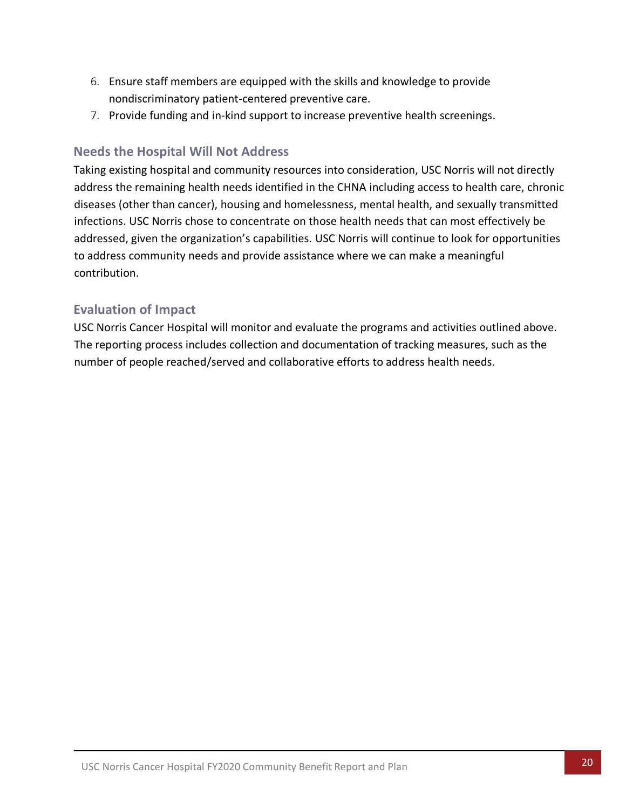- 6. Ensure staff members are equipped with the skills and knowledge to provide nondiscriminatory patient-centered preventive care.
- 7. Provide funding and in-kind support to increase preventive health screenings.

# <span id="page-20-0"></span>**Needs the Hospital Will Not Address**

Taking existing hospital and community resources into consideration, USC Norris will not directly address the remaining health needs identified in the CHNA including access to health care, chronic diseases (other than cancer), housing and homelessness, mental health, and sexually transmitted infections. USC Norris chose to concentrate on those health needs that can most effectively be addressed, given the organization's capabilities. USC Norris will continue to look for opportunities to address community needs and provide assistance where we can make a meaningful contribution.

# <span id="page-20-1"></span>**Evaluation of Impact**

USC Norris Cancer Hospital will monitor and evaluate the programs and activities outlined above. The reporting process includes collection and documentation of tracking measures, such as the number of people reached/served and collaborative efforts to address health needs.